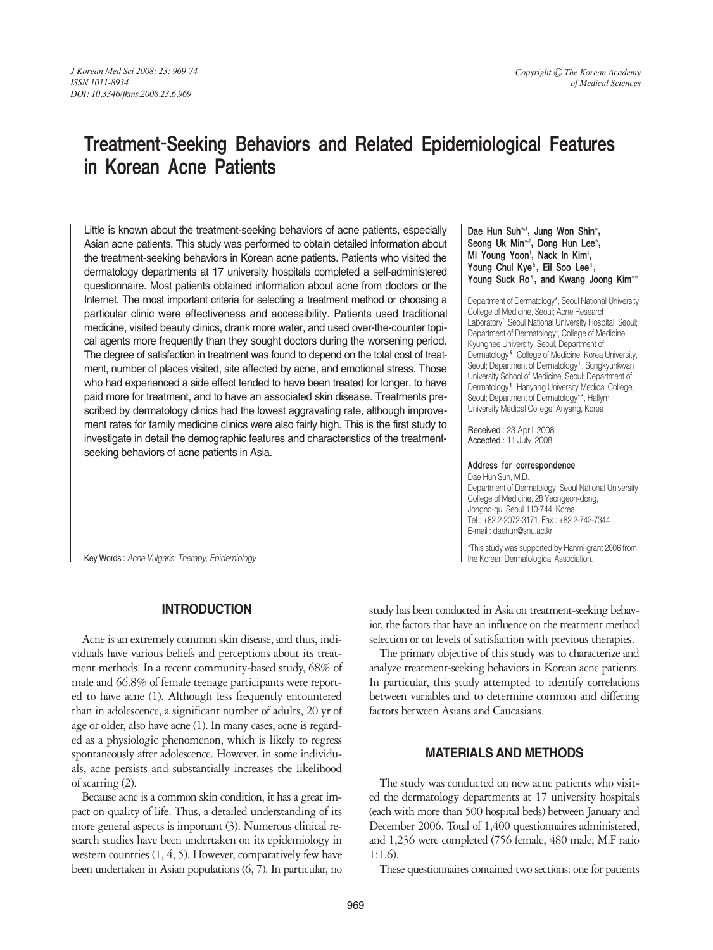# Treatment-Seeking Behaviors and Related Epidemiological Features in Korean Acne Patients

Little is known about the treatment-seeking behaviors of acne patients, especially Asian acne patients. This study was performed to obtain detailed information about the treatment-seeking behaviors in Korean acne patients. Patients who visited the dermatology departments at 17 university hospitals completed a self-administered questionnaire. Most patients obtained information about acne from doctors or the Internet. The most important criteria for selecting a treatment method or choosing a particular clinic were effectiveness and accessibility. Patients used traditional medicine, visited beauty clinics, drank more water, and used over-the-counter topical agents more frequently than they sought doctors during the worsening period. The degree of satisfaction in treatment was found to depend on the total cost of treatment, number of places visited, site affected by acne, and emotional stress. Those who had experienced a side effect tended to have been treated for longer, to have paid more for treatment, and to have an associated skin disease. Treatments prescribed by dermatology clinics had the lowest aggravating rate, although improvement rates for family medicine clinics were also fairly high. This is the first study to investigate in detail the demographic features and characteristics of the treatmentseeking behaviors of acne patients in Asia.

Key Words : *Acne Vulgaris; Therapy; Epidemiology*

## **INTRODUCTION**

Acne is an extremely common skin disease, and thus, individuals have various beliefs and perceptions about its treatment methods. In a recent community-based study, 68% of male and 66.8% of female teenage participants were reported to have acne (1). Although less frequently encountered than in adolescence, a significant number of adults, 20 yr of age or older, also have acne (1). In many cases, acne is regarded as a physiologic phenomenon, which is likely to regress spontaneously after adolescence. However, in some individuals, acne persists and substantially increases the likelihood of scarring (2).

Because acne is a common skin condition, it has a great impact on quality of life. Thus, a detailed understanding of its more general aspects is important (3). Numerous clinical research studies have been undertaken on its epidemiology in western countries (1, 4, 5). However, comparatively few have been undertaken in Asian populations (6, 7). In particular, no

Dae Hun Suh\*<sup>+</sup>, Jung Won Shin\*, Seong Uk Min\*<sup>,†</sup>, Dong Hun Lee\*, Mi Young Yoon', Nack In Kim<del>'</del>, Young Chul Kye<sup>s</sup>, Eil Soo Lee<sup>1</sup>, Young Suck Ro<sup>®</sup>, and Kwang Joong Kim<sup>\*\*</sup>

Department of Dermatology\*, Seoul National University College of Medicine, Seoul; Acne Research Laboratory<sup>†</sup>, Seoul National University Hospital, Seoul; Department of Dermatology<sup>†</sup>, College of Medicine, Kyunghee University, Seoul; Department of Dermatology<sup>§</sup>, College of Medicine, Korea University, Seoul; Department of Dermatology<sup>1</sup>, Sungkyunkwan University School of Medicine, Seoul; Department of Dermatology¶, Hanyang University Medical College, Seoul; Department of Dermatology\*\*, Hallym University Medical College, Anyang, Korea

Received : 23 April 2008 Accepted : 11 July 2008

#### Address for correspondence

Dae Hun Suh, M.D. Department of Dermatology, Seoul National University College of Medicine, 28 Yeongeon-dong, Jongno-gu, Seoul 110-744, Korea Tel : +82.2-2072-3171, Fax : +82.2-742-7344 E-mail : daehun@snu.ac.kr

\*This study was supported by Hanmi grant 2006 from the Korean Dermatological Association.

study has been conducted in Asia on treatment-seeking behavior, the factors that have an influence on the treatment method selection or on levels of satisfaction with previous therapies.

The primary objective of this study was to characterize and analyze treatment-seeking behaviors in Korean acne patients. In particular, this study attempted to identify correlations between variables and to determine common and differing factors between Asians and Caucasians.

# **MATERIALS AND METHODS**

The study was conducted on new acne patients who visited the dermatology departments at 17 university hospitals (each with more than 500 hospital beds) between January and December 2006. Total of 1,400 questionnaires administered, and 1,236 were completed (756 female, 480 male; M:F ratio 1:1.6).

These questionnaires contained two sections: one for patients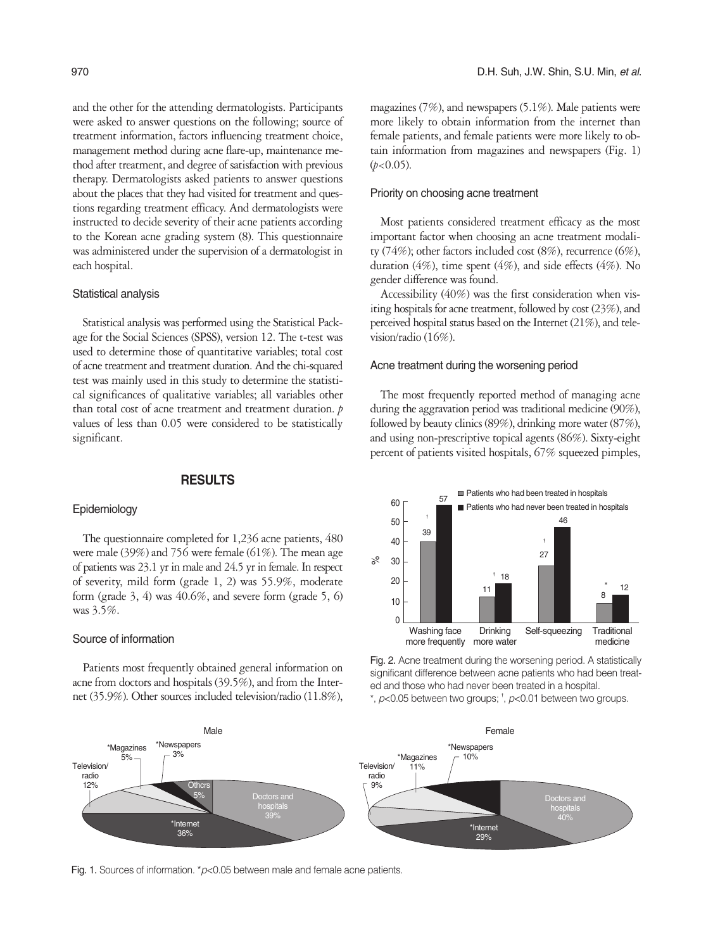and the other for the attending dermatologists. Participants were asked to answer questions on the following; source of treatment information, factors influencing treatment choice, management method during acne flare-up, maintenance method after treatment, and degree of satisfaction with previous therapy. Dermatologists asked patients to answer questions about the places that they had visited for treatment and questions regarding treatment efficacy. And dermatologists were instructed to decide severity of their acne patients according to the Korean acne grading system (8). This questionnaire was administered under the supervision of a dermatologist in each hospital.

#### Statistical analysis

Statistical analysis was performed using the Statistical Package for the Social Sciences (SPSS), version 12. The t-test was used to determine those of quantitative variables; total cost of acne treatment and treatment duration. And the chi-squared test was mainly used in this study to determine the statistical significances of qualitative variables; all variables other than total cost of acne treatment and treatment duration. *p* values of less than 0.05 were considered to be statistically significant.

#### **RESULTS**

#### Epidemiology

The questionnaire completed for 1,236 acne patients, 480 were male (39%) and 756 were female (61%). The mean age of patients was 23.1 yr in male and 24.5 yr in female. In respect of severity, mild form (grade 1, 2) was 55.9%, moderate form (grade  $3, 4$ ) was  $40.6\%$ , and severe form (grade  $5, 6$ ) was 3.5%.

#### Source of information

Patients most frequently obtained general information on acne from doctors and hospitals (39.5%), and from the Internet (35.9%). Other sources included television/radio (11.8%), magazines (7%), and newspapers (5.1%). Male patients were more likely to obtain information from the internet than female patients, and female patients were more likely to obtain information from magazines and newspapers (Fig. 1)  $(b<0.05)$ .

## Priority on choosing acne treatment

Most patients considered treatment efficacy as the most important factor when choosing an acne treatment modality (74%); other factors included cost (8%), recurrence (6%), duration (4%), time spent (4%), and side effects (4%). No gender difference was found.

Accessibility (40%) was the first consideration when visiting hospitals for acne treatment, followed by cost (23%), and perceived hospital status based on the Internet (21%), and television/radio (16%).

#### Acne treatment during the worsening period

The most frequently reported method of managing acne during the aggravation period was traditional medicine (90%), followed by beauty clinics (89%), drinking more water (87%), and using non-prescriptive topical agents (86%). Sixty-eight percent of patients visited hospitals, 67% squeezed pimples,



Fig. 2. Acne treatment during the worsening period. A statistically significant difference between acne patients who had been treated and those who had never been treated in a hospital. \*, *p*<0.05 between two groups; � , *p*<0.01 between two groups.



Fig. 1. Sources of information. \*p<0.05 between male and female acne patients.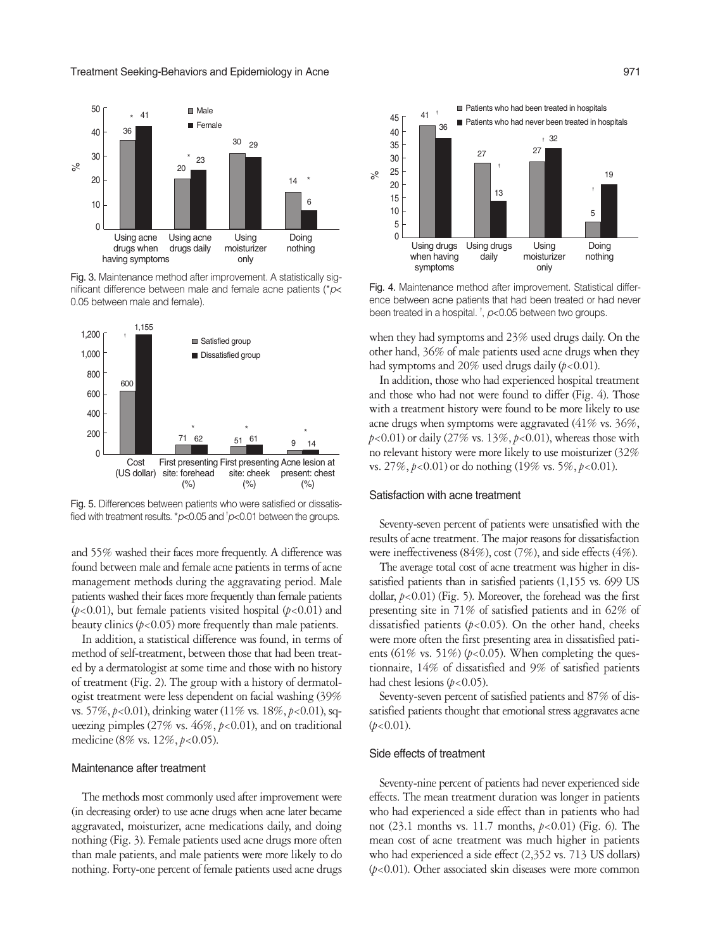

Fig. 3. Maintenance method after improvement. A statistically significant difference between male and female acne patients (\**p*< 0.05 between male and female).



Fig. 5. Differences between patients who were satisfied or dissatisfied with treatment results. \*p<0.05 and <sup>†</sup>p<0.01 between the groups.

and 55% washed their faces more frequently. A difference was found between male and female acne patients in terms of acne management methods during the aggravating period. Male patients washed their faces more frequently than female patients ( $p$ <0.01), but female patients visited hospital ( $p$ <0.01) and beauty clinics (*p*<0.05) more frequently than male patients.

In addition, a statistical difference was found, in terms of method of self-treatment, between those that had been treated by a dermatologist at some time and those with no history of treatment (Fig. 2). The group with a history of dermatologist treatment were less dependent on facial washing (39% vs. 57%, *p*<0.01), drinking water (11% vs. 18%, *p*<0.01), squeezing pimples (27% vs. 46%, *p*<0.01), and on traditional medicine (8% vs. 12%, *p*<0.05).

#### Maintenance after treatment

The methods most commonly used after improvement were (in decreasing order) to use acne drugs when acne later became aggravated, moisturizer, acne medications daily, and doing nothing (Fig. 3). Female patients used acne drugs more often than male patients, and male patients were more likely to do nothing. Forty-one percent of female patients used acne drugs



Fig. 4. Maintenance method after improvement. Statistical difference between acne patients that had been treated or had never been treated in a hospital. <sup>†</sup>, *p*<0.05 between two groups.

when they had symptoms and 23% used drugs daily. On the other hand, 36% of male patients used acne drugs when they had symptoms and 20% used drugs daily ( $p < 0.01$ ).

In addition, those who had experienced hospital treatment and those who had not were found to differ (Fig. 4). Those with a treatment history were found to be more likely to use acne drugs when symptoms were aggravated (41% vs. 36%, *p*<0.01) or daily (27% vs. 13%, *p*<0.01), whereas those with no relevant history were more likely to use moisturizer (32% vs. 27%, *p*<0.01) or do nothing (19% vs. 5%, *p*<0.01).

#### Satisfaction with acne treatment

Seventy-seven percent of patients were unsatisfied with the results of acne treatment. The major reasons for dissatisfaction were ineffectiveness (84%), cost (7%), and side effects (4%).

The average total cost of acne treatment was higher in dissatisfied patients than in satisfied patients (1,155 vs. 699 US dollar,  $p$ <0.01) (Fig. 5). Moreover, the forehead was the first presenting site in 71% of satisfied patients and in 62% of dissatisfied patients  $(p<0.05)$ . On the other hand, cheeks were more often the first presenting area in dissatisfied patients (61% vs. 51%) ( $p$ <0.05). When completing the questionnaire, 14% of dissatisfied and 9% of satisfied patients had chest lesions ( $p$ <0.05).

Seventy-seven percent of satisfied patients and 87% of dissatisfied patients thought that emotional stress aggravates acne  $(p<0.01)$ .

#### Side effects of treatment

Seventy-nine percent of patients had never experienced side effects. The mean treatment duration was longer in patients who had experienced a side effect than in patients who had not (23.1 months vs. 11.7 months, *p*<0.01) (Fig. 6). The mean cost of acne treatment was much higher in patients who had experienced a side effect (2,352 vs. 713 US dollars) (*p*<0.01). Other associated skin diseases were more common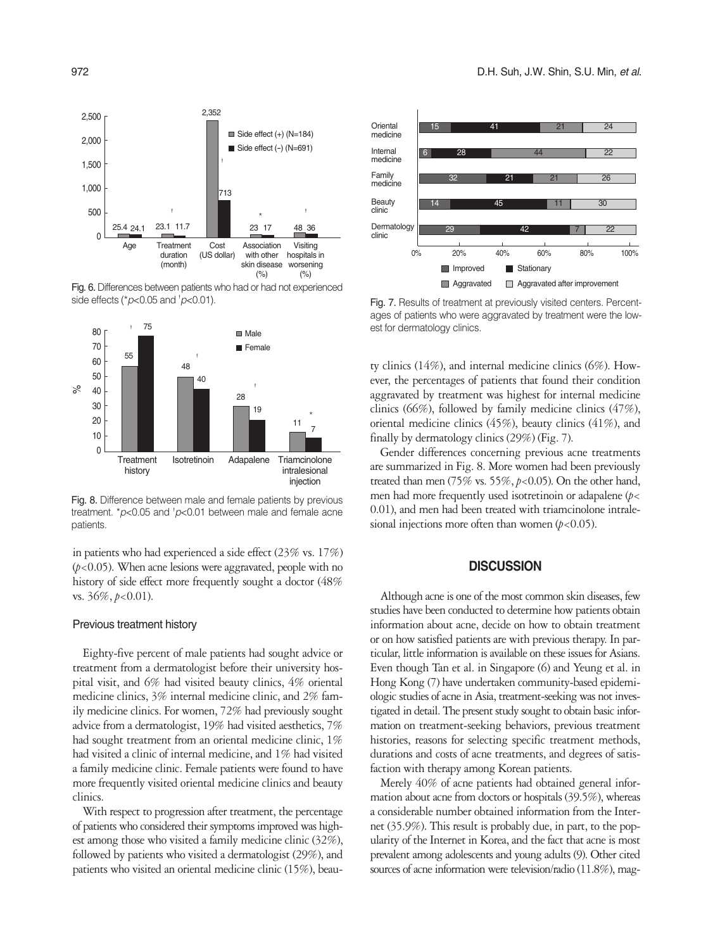

Fig. 6. Differences between patients who had or had not experienced side effects (*\*p*<0.05 and *<sup>†</sup>p*<0.01).



Fig. 8. Difference between male and female patients by previous treatment. \*p<0.05 and <sup>+</sup>p<0.01 between male and female acne patients.

in patients who had experienced a side effect (23% vs. 17%) (*p*<0.05). When acne lesions were aggravated, people with no history of side effect more frequently sought a doctor (48% vs. 36%, *p*<0.01).

#### Previous treatment history

Eighty-five percent of male patients had sought advice or treatment from a dermatologist before their university hospital visit, and 6% had visited beauty clinics, 4% oriental medicine clinics, 3% internal medicine clinic, and 2% family medicine clinics. For women, 72% had previously sought advice from a dermatologist, 19% had visited aesthetics, 7% had sought treatment from an oriental medicine clinic, 1% had visited a clinic of internal medicine, and 1% had visited a family medicine clinic. Female patients were found to have more frequently visited oriental medicine clinics and beauty clinics.

With respect to progression after treatment, the percentage of patients who considered their symptoms improved was highest among those who visited a family medicine clinic (32%), followed by patients who visited a dermatologist (29%), and patients who visited an oriental medicine clinic (15%), beau-



Fig. 7. Results of treatment at previously visited centers. Percentages of patients who were aggravated by treatment were the lowest for dermatology clinics.

ty clinics (14%), and internal medicine clinics (6%). However, the percentages of patients that found their condition aggravated by treatment was highest for internal medicine clinics (66%), followed by family medicine clinics (47%), oriental medicine clinics (45%), beauty clinics (41%), and finally by dermatology clinics (29%) (Fig. 7).

Gender differences concerning previous acne treatments are summarized in Fig. 8. More women had been previously treated than men (75% vs. 55%, *p*<0.05). On the other hand, men had more frequently used isotretinoin or adapalene (*p*< 0.01), and men had been treated with triamcinolone intralesional injections more often than women  $(p<0.05)$ .

## **DISCUSSION**

Although acne is one of the most common skin diseases, few studies have been conducted to determine how patients obtain information about acne, decide on how to obtain treatment or on how satisfied patients are with previous therapy. In particular, little information is available on these issues for Asians. Even though Tan et al. in Singapore (6) and Yeung et al. in Hong Kong (7) have undertaken community-based epidemiologic studies of acne in Asia, treatment-seeking was not investigated in detail. The present study sought to obtain basic information on treatment-seeking behaviors, previous treatment histories, reasons for selecting specific treatment methods, durations and costs of acne treatments, and degrees of satisfaction with therapy among Korean patients.

Merely 40% of acne patients had obtained general information about acne from doctors or hospitals (39.5%), whereas a considerable number obtained information from the Internet (35.9%). This result is probably due, in part, to the popularity of the Internet in Korea, and the fact that acne is most prevalent among adolescents and young adults (9). Other cited sources of acne information were television/radio (11.8%), mag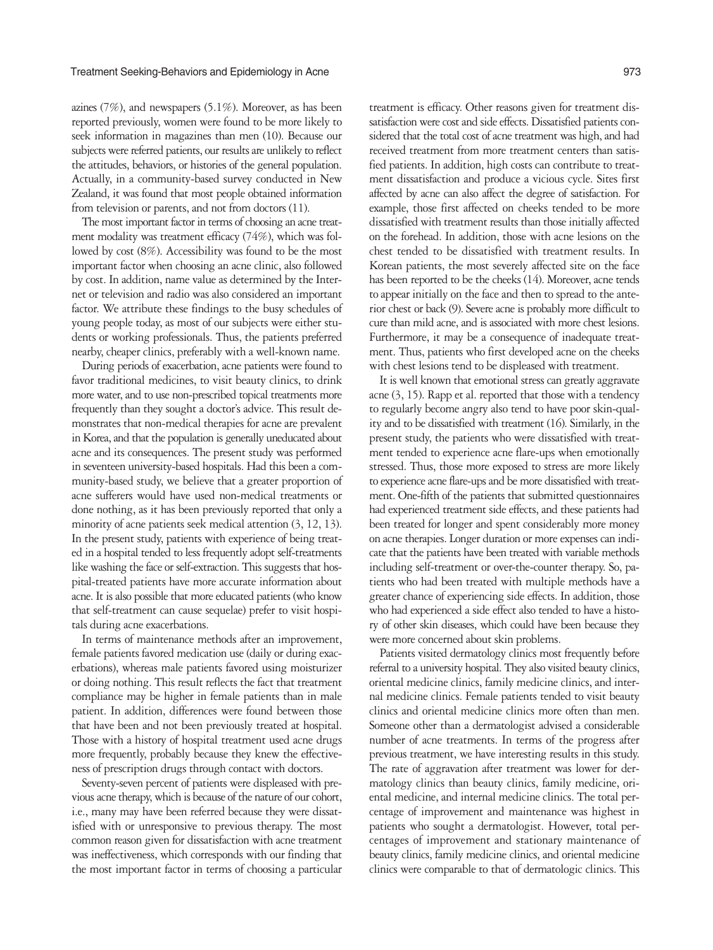azines (7%), and newspapers (5.1%). Moreover, as has been reported previously, women were found to be more likely to seek information in magazines than men (10). Because our subjects were referred patients, our results are unlikely to reflect the attitudes, behaviors, or histories of the general population. Actually, in a community-based survey conducted in New Zealand, it was found that most people obtained information from television or parents, and not from doctors (11).

The most important factor in terms of choosing an acne treatment modality was treatment efficacy (74%), which was followed by cost (8%). Accessibility was found to be the most important factor when choosing an acne clinic, also followed by cost. In addition, name value as determined by the Internet or television and radio was also considered an important factor. We attribute these findings to the busy schedules of young people today, as most of our subjects were either students or working professionals. Thus, the patients preferred nearby, cheaper clinics, preferably with a well-known name.

During periods of exacerbation, acne patients were found to favor traditional medicines, to visit beauty clinics, to drink more water, and to use non-prescribed topical treatments more frequently than they sought a doctor's advice. This result demonstrates that non-medical therapies for acne are prevalent in Korea, and that the population is generally uneducated about acne and its consequences. The present study was performed in seventeen university-based hospitals. Had this been a community-based study, we believe that a greater proportion of acne sufferers would have used non-medical treatments or done nothing, as it has been previously reported that only a minority of acne patients seek medical attention (3, 12, 13). In the present study, patients with experience of being treated in a hospital tended to less frequently adopt self-treatments like washing the face or self-extraction. This suggests that hospital-treated patients have more accurate information about acne. It is also possible that more educated patients (who know that self-treatment can cause sequelae) prefer to visit hospitals during acne exacerbations.

In terms of maintenance methods after an improvement, female patients favored medication use (daily or during exacerbations), whereas male patients favored using moisturizer or doing nothing. This result reflects the fact that treatment compliance may be higher in female patients than in male patient. In addition, differences were found between those that have been and not been previously treated at hospital. Those with a history of hospital treatment used acne drugs more frequently, probably because they knew the effectiveness of prescription drugs through contact with doctors.

Seventy-seven percent of patients were displeased with previous acne therapy, which is because of the nature of our cohort, i.e., many may have been referred because they were dissatisfied with or unresponsive to previous therapy. The most common reason given for dissatisfaction with acne treatment was ineffectiveness, which corresponds with our finding that the most important factor in terms of choosing a particular

treatment is efficacy. Other reasons given for treatment dissatisfaction were cost and side effects. Dissatisfied patients considered that the total cost of acne treatment was high, and had received treatment from more treatment centers than satisfied patients. In addition, high costs can contribute to treatment dissatisfaction and produce a vicious cycle. Sites first affected by acne can also affect the degree of satisfaction. For example, those first affected on cheeks tended to be more dissatisfied with treatment results than those initially affected on the forehead. In addition, those with acne lesions on the chest tended to be dissatisfied with treatment results. In Korean patients, the most severely affected site on the face has been reported to be the cheeks (14). Moreover, acne tends to appear initially on the face and then to spread to the anterior chest or back (9). Severe acne is probably more difficult to cure than mild acne, and is associated with more chest lesions. Furthermore, it may be a consequence of inadequate treatment. Thus, patients who first developed acne on the cheeks with chest lesions tend to be displeased with treatment.

It is well known that emotional stress can greatly aggravate acne (3, 15). Rapp et al. reported that those with a tendency to regularly become angry also tend to have poor skin-quality and to be dissatisfied with treatment (16). Similarly, in the present study, the patients who were dissatisfied with treatment tended to experience acne flare-ups when emotionally stressed. Thus, those more exposed to stress are more likely to experience acne flare-ups and be more dissatisfied with treatment. One-fifth of the patients that submitted questionnaires had experienced treatment side effects, and these patients had been treated for longer and spent considerably more money on acne therapies. Longer duration or more expenses can indicate that the patients have been treated with variable methods including self-treatment or over-the-counter therapy. So, patients who had been treated with multiple methods have a greater chance of experiencing side effects. In addition, those who had experienced a side effect also tended to have a history of other skin diseases, which could have been because they were more concerned about skin problems.

Patients visited dermatology clinics most frequently before referral to a university hospital. They also visited beauty clinics, oriental medicine clinics, family medicine clinics, and internal medicine clinics. Female patients tended to visit beauty clinics and oriental medicine clinics more often than men. Someone other than a dermatologist advised a considerable number of acne treatments. In terms of the progress after previous treatment, we have interesting results in this study. The rate of aggravation after treatment was lower for dermatology clinics than beauty clinics, family medicine, oriental medicine, and internal medicine clinics. The total percentage of improvement and maintenance was highest in patients who sought a dermatologist. However, total percentages of improvement and stationary maintenance of beauty clinics, family medicine clinics, and oriental medicine clinics were comparable to that of dermatologic clinics. This